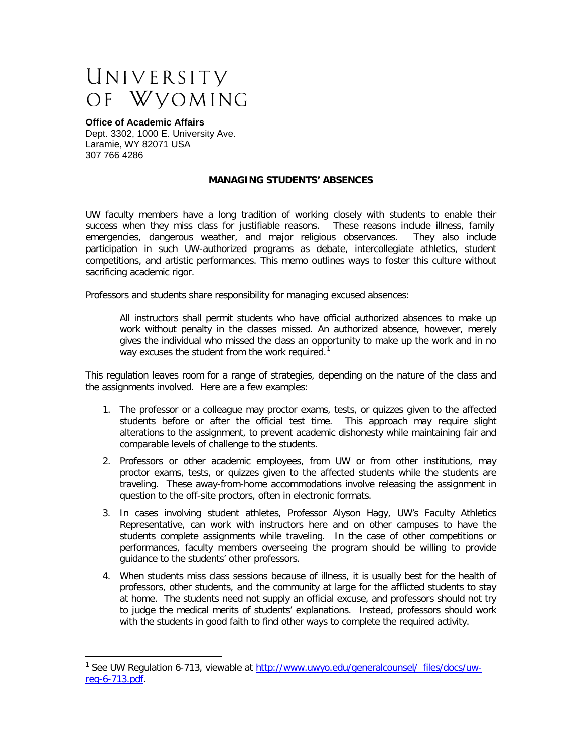## UNIVERSITY OF WYOMING

## **Office of Academic Affairs**

Dept. 3302, 1000 E. University Ave. Laramie, WY 82071 USA 307 766 4286

## **MANAGING STUDENTS' ABSENCES**

UW faculty members have a long tradition of working closely with students to enable their success when they miss class for justifiable reasons. These reasons include illness, family emergencies, dangerous weather, and major religious observances. They also include participation in such UW-authorized programs as debate, intercollegiate athletics, student competitions, and artistic performances. This memo outlines ways to foster this culture without sacrificing academic rigor.

Professors and students share responsibility for managing excused absences:

All instructors shall permit students who have official authorized absences to make up work without penalty in the classes missed. An authorized absence, however, merely gives the individual who missed the class an opportunity to make up the work and in no way excuses the student from the work required.<sup>[1](#page-0-0)</sup>

This regulation leaves room for a range of strategies, depending on the nature of the class and the assignments involved. Here are a few examples:

- 1. The professor or a colleague may proctor exams, tests, or quizzes given to the affected students before or after the official test time. This approach may require slight alterations to the assignment, to prevent academic dishonesty while maintaining fair and comparable levels of challenge to the students.
- 2. Professors or other academic employees, from UW or from other institutions, may proctor exams, tests, or quizzes given to the affected students while the students are traveling. These away-from-home accommodations involve releasing the assignment in question to the off-site proctors, often in electronic formats.
- 3. In cases involving student athletes, Professor Alyson Hagy, UW's Faculty Athletics Representative, can work with instructors here and on other campuses to have the students complete assignments while traveling. In the case of other competitions or performances, faculty members overseeing the program should be willing to provide guidance to the students' other professors.
- 4. When students miss class sessions because of illness, it is usually best for the health of professors, other students, and the community at large for the afflicted students to stay at home. The students need not supply an official excuse, and professors should not try to judge the medical merits of students' explanations. Instead, professors should work with the students in good faith to find other ways to complete the required activity.

<span id="page-0-0"></span><sup>&</sup>lt;sup>1</sup> See UW Requlation 6-713, viewable at [http://www.uwyo.edu/generalcounsel/\\_files/docs/uw](http://www.uwyo.edu/generalcounsel/_files/docs/uw-reg-6-713.pdf)[reg-6-713.pdf.](http://www.uwyo.edu/generalcounsel/_files/docs/uw-reg-6-713.pdf)